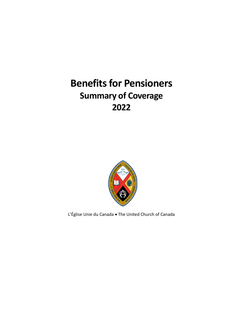# **Benefits for Pensioners Summary of Coverage 2022**



L'Église Unie du Canada • The United Church of Canada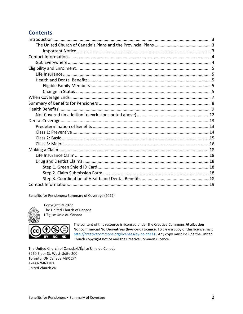# **Contents**

Benefits for Pensioners: Summary of Coverage (2022)



Copyright © 2022 The United Church of Canada L'Église Unie du Canada



The content of this resource is licensed under the Creative Commons Attribution Noncommercial No Derivatives (by-nc-nd) Licence. To view a copy of this licence, visit http://creativecommons.org/licenses/by-nc-nd/3.0. Any copy must include the United Church copyright notice and the Creative Commons licence.

<span id="page-1-0"></span>The United Church of Canada/L'Église Unie du Canada 3250 Bloor St. West, Suite 200 Toronto, ON Canada M8X 2Y4 1-800-268-3781 united-church.ca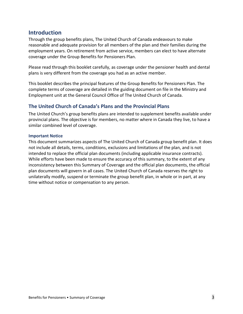# **Introduction**

Through the group benefits plans, The United Church of Canada endeavours to make reasonable and adequate provision for all members of the plan and their families during the employment years. On retirement from active service, members can elect to have alternate coverage under the Group Benefits for Pensioners Plan.

Please read through this booklet carefully, as coverage under the pensioner health and dental plans is very different from the coverage you had as an active member.

This booklet describes the principal features of the Group Benefits for Pensioners Plan. The complete terms of coverage are detailed in the guiding document on file in the Ministry and Employment unit at the General Council Office of The United Church of Canada.

### <span id="page-2-0"></span>**The United Church of Canada's Plans and the Provincial Plans**

The United Church's group benefits plans are intended to supplement benefits available under provincial plans. The objective is for members, no matter where in Canada they live, to have a similar combined level of coverage.

#### <span id="page-2-1"></span>**Important Notice**

This document summarizes aspects of The United Church of Canada group benefit plan. It does not include all details, terms, conditions, exclusions and limitations of the plan, and is not intended to replace the official plan documents (including applicable insurance contracts). While efforts have been made to ensure the accuracy of this summary, to the extent of any inconsistency between this Summary of Coverage and the official plan documents, the official plan documents will govern in all cases. The United Church of Canada reserves the right to unilaterally modify, suspend or terminate the group benefit plan, in whole or in part, at any time without notice or compensation to any person.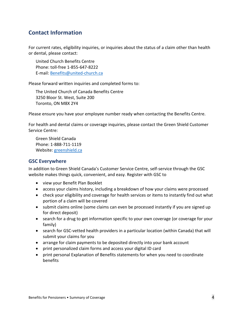# <span id="page-3-0"></span>**Contact Information**

For current rates, eligibility inquiries, or inquiries about the status of a claim other than health or dental, please contact:

United Church Benefits Centre Phone: toll-free 1-855-647-8222 E-mail: [Benefits@united-church.ca](mailto:Benefits@united-church.ca)

Please forward written inquiries and completed forms to:

The United Church of Canada Benefits Centre 3250 Bloor St. West, Suite 200 Toronto, ON M8X 2Y4

Please ensure you have your employee number ready when contacting the Benefits Centre.

For health and dental claims or coverage inquiries, please contact the Green Shield Customer Service Centre:

Green Shield Canada Phone: 1-888-711-1119 Website: [greenshield.ca](http://www.greenshield.ca/)

### <span id="page-3-1"></span>**GSC Everywhere**

In addition to Green Shield Canada's Customer Service Centre, self-service through the GSC website makes things quick, convenient, and easy. Register with GSC to

- view your Benefit Plan Booklet
- access your claims history, including a breakdown of how your claims were processed
- check your eligibility and coverage for health services or items to instantly find out what portion of a claim will be covered
- submit claims online (some claims can even be processed instantly if you are signed up for direct deposit)
- search for a drug to get information specific to your own coverage (or coverage for your family)
- search for GSC-vetted health providers in a particular location (within Canada) that will submit your claims for you
- arrange for claim payments to be deposited directly into your bank account
- print personalized claim forms and access your digital ID card
- print personal Explanation of Benefits statements for when you need to coordinate benefits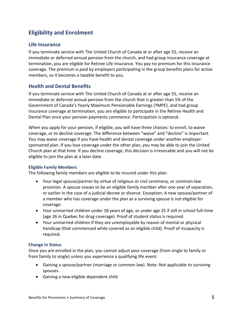# <span id="page-4-0"></span>**Eligibility and Enrolment**

### <span id="page-4-1"></span>**Life Insurance**

If you terminate service with The United Church of Canada at or after age 55, receive an immediate or deferred annual pension from the church, and had group insurance coverage at termination, you are eligible for Retiree Life Insurance. You pay no premium for this insurance coverage. The premium is paid by employers participating in the group benefits plans for active members, so it becomes a taxable benefit to you.

### <span id="page-4-2"></span>**Health and Dental Benefits**

If you terminate service with The United Church of Canada at or after age 55, receive an immediate or deferred annual pension from the church that is greater than 5% of the Government of Canada's Yearly Maximum Pensionable Earnings (YMPE), and had group insurance coverage at termination, you are eligible to participate in the Retiree Health and Dental Plan once your pension payments commence. Participation is optional.

When you apply for your pension, if eligible, you will have three choices: to enroll, to waive coverage, or to decline coverage. The difference between "waive" and "decline" is important. You may waive coverage if you have health and dental coverage under another employersponsored plan. If you lose coverage under the other plan, you may be able to join the United Church plan at that time. If you decline coverage, this decision is irrevocable and you will not be eligible to join the plan at a later date.

#### <span id="page-4-3"></span>**Eligible Family Members**

The following family members are eligible to be insured under this plan:

- Your legal spouse/partner by virtue of religious or civil ceremony, or common-law provision. A spouse ceases to be an eligible family member after one year of separation, or earlier in the case of a judicial decree or divorce. Exception: A new spouse/partner of a member who has coverage under the plan as a surviving spouse is not eligible for coverage.
- Your unmarried children under 18 years of age, or under age 25 if still in school full-time (age 26 in Quebec for drug coverage). Proof of student status is required.
- Your unmarried children if they are unemployable by reason of mental or physical handicap (that commenced while covered as an eligible child). Proof of incapacity is required.

#### <span id="page-4-4"></span>**Change in Status**

Once you are enrolled in the plan, you cannot adjust your coverage (from single to family or from family to single) unless you experience a qualifying life event:

- Gaining a spouse/partner (marriage or common law). Note: Not applicable to surviving spouses.
- Gaining a new eligible dependent child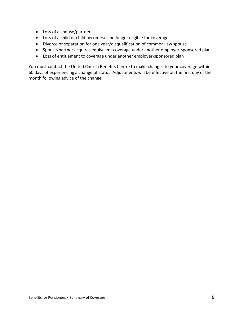- Loss of a spouse/partner
- Loss of a child or child becomes/is no longer eligible for coverage
- Divorce or separation for one year/disqualification of common-law spouse
- Spouse/partner acquires equivalent coverage under another employer-sponsored plan
- Loss of entitlement to coverage under another employer-sponsored plan

You must contact the United Church Benefits Centre to make changes to your coverage within 60 days of experiencing a change of status. Adjustments will be effective on the first day of the month following advice of the change.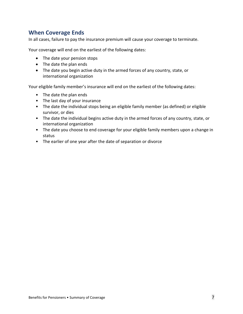# <span id="page-6-0"></span>**When Coverage Ends**

In all cases, failure to pay the insurance premium will cause your coverage to terminate.

Your coverage will end on the earliest of the following dates:

- The date your pension stops
- The date the plan ends
- The date you begin active duty in the armed forces of any country, state, or international organization

Your eligible family member's insurance will end on the earliest of the following dates:

- The date the plan ends
- The last day of your insurance
- The date the individual stops being an eligible family member (as defined) or eligible survivor, or dies
- The date the individual begins active duty in the armed forces of any country, state, or international organization
- The date you choose to end coverage for your eligible family members upon a change in status
- The earlier of one year after the date of separation or divorce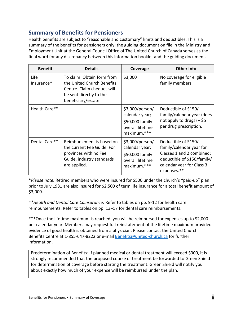# <span id="page-7-0"></span>**Summary of Benefits for Pensioners**

Health benefits are subject to "reasonable and customary" limits and deductibles. This is a summary of the benefits for pensioners only; the guiding document on file in the Ministry and Employment Unit at the General Council Office of The United Church of Canada serves as the final word for any discrepancy between this information booklet and the guiding document.

| <b>Benefit</b>     | <b>Details</b>                                                                                                                           | Coverage                                                                                | <b>Other Info</b>                                                                                                                                        |
|--------------------|------------------------------------------------------------------------------------------------------------------------------------------|-----------------------------------------------------------------------------------------|----------------------------------------------------------------------------------------------------------------------------------------------------------|
| Life<br>Insurance* | To claim: Obtain form from<br>the United Church Benefits<br>Centre. Claim cheques will<br>be sent directly to the<br>beneficiary/estate. | \$3,000                                                                                 | No coverage for eligible<br>family members.                                                                                                              |
| Health Care**      |                                                                                                                                          | \$3,000/person/<br>calendar year;<br>\$50,000 family<br>overall lifetime<br>maximum.*** | Deductible of \$150/<br>family/calendar year (does<br>not apply to drugs) + $$5$<br>per drug prescription.                                               |
| Dental Care**      | Reimbursement is based on<br>the current Fee Guide. For<br>provinces with no Fee<br>Guide, industry standards<br>are applied.            | \$3,000/person/<br>calendar year;<br>\$50,000 family<br>overall lifetime<br>maximum.*** | Deductible of \$150/<br>family/calendar year for<br>Classes 1 and 2 combined;<br>deductible of \$150/family/<br>calendar year for Class 3<br>expenses.** |

\**Please note:* Retired members who were insured for \$500 under the church's "paid-up" plan prior to July 1981 are also insured for \$2,500 of term life insurance for a total benefit amount of \$3,000.

*\*\*Health and Dental Care Coinsurance:* Refer to tables on pp. 9-12 for health care reimbursements. Refer to tables on pp. 13–17 for dental care reimbursements.

\*\*\*Once the lifetime maximum is reached, you will be reimbursed for expenses up to \$2,000 per calendar year. Members may request full reinstatement of the lifetime maximum provided evidence of good health is obtained from a physician. Please contact the United Church Benefits Centre at 1-855-647-8222 or e-mai[l Benefits@united-church.ca](mailto:Benefits@united-church.ca) for further information.

Predetermination of Benefits: If planned medical or dental treatment will exceed \$300, it is strongly recommended that the proposed course of treatment be forwarded to Green Shield for determination of coverage before starting the treatment. Green Shield will notify you about exactly how much of your expense will be reimbursed under the plan.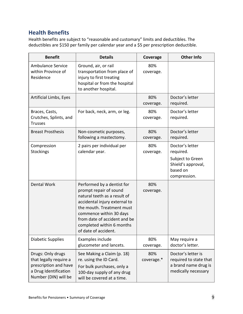# <span id="page-8-0"></span>**Health Benefits**

Health benefits are subject to "reasonable and customary" limits and deductibles. The deductibles are \$150 per family per calendar year and a \$5 per prescription deductible.

| <b>Benefit</b>                                                                                                        | <b>Details</b>                                                                                                                                                                                                                                                     | Coverage          | <b>Other Info</b>                                                                                  |
|-----------------------------------------------------------------------------------------------------------------------|--------------------------------------------------------------------------------------------------------------------------------------------------------------------------------------------------------------------------------------------------------------------|-------------------|----------------------------------------------------------------------------------------------------|
| <b>Ambulance Service</b><br>within Province of<br>Residence                                                           | Ground, air, or rail<br>transportation from place of<br>injury to first treating<br>hospital or from the hospital<br>to another hospital.                                                                                                                          | 80%<br>coverage.  |                                                                                                    |
| Artificial Limbs, Eyes                                                                                                |                                                                                                                                                                                                                                                                    | 80%<br>coverage.  | Doctor's letter<br>required.                                                                       |
| Braces, Casts,<br>Crutches, Splints, and<br><b>Trusses</b>                                                            | For back, neck, arm, or leg.                                                                                                                                                                                                                                       | 80%<br>coverage.  | Doctor's letter<br>required.                                                                       |
| <b>Breast Prosthesis</b>                                                                                              | Non-cosmetic purposes,<br>following a mastectomy.                                                                                                                                                                                                                  | 80%<br>coverage.  | Doctor's letter<br>required.                                                                       |
| Compression<br>Stockings                                                                                              | 2 pairs per individual per<br>calendar year.                                                                                                                                                                                                                       | 80%<br>coverage.  | Doctor's letter<br>required.<br>Subject to Green<br>Shield's approval,<br>based on<br>compression. |
| Dental Work                                                                                                           | Performed by a dentist for<br>prompt repair of sound<br>natural teeth as a result of<br>accidental injury external to<br>the mouth. Treatment must<br>commence within 30 days<br>from date of accident and be<br>completed within 6 months<br>of date of accident. | 80%<br>coverage.  |                                                                                                    |
| <b>Diabetic Supplies</b>                                                                                              | Examples include<br>glucometer and lancets.                                                                                                                                                                                                                        | 80%<br>coverage.  | May require a<br>doctor's letter.                                                                  |
| Drugs: Only drugs<br>that legally require a<br>prescription and have<br>a Drug Identification<br>Number (DIN) will be | See Making a Claim (p. 18)<br>re. using the ID Card.<br>For bulk purchases, only a<br>100-day supply of any drug<br>will be covered at a time.                                                                                                                     | 80%<br>coverage.* | Doctor's letter is<br>required to state that<br>a brand name drug is<br>medically necessary        |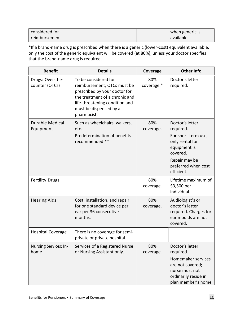| considered for |  | when generic is |
|----------------|--|-----------------|
| reimbursement  |  | available.      |

\*If a brand-name drug is prescribed when there is a generic (lower-cost) equivalent available, only the cost of the generic equivalent will be covered (at 80%), unless your doctor specifies that the brand-name drug is required.

| <b>Benefit</b>                      | <b>Details</b>                                                                                                                                                                                    | Coverage          | <b>Other Info</b>                                                                                                                                        |
|-------------------------------------|---------------------------------------------------------------------------------------------------------------------------------------------------------------------------------------------------|-------------------|----------------------------------------------------------------------------------------------------------------------------------------------------------|
| Drugs: Over-the-<br>counter (OTCs)  | To be considered for<br>reimbursement, OTCs must be<br>prescribed by your doctor for<br>the treatment of a chronic and<br>life-threatening condition and<br>must be dispensed by a<br>pharmacist. | 80%<br>coverage.* | Doctor's letter<br>required.                                                                                                                             |
| <b>Durable Medical</b><br>Equipment | Such as wheelchairs, walkers,<br>etc.<br>Predetermination of benefits<br>recommended.**                                                                                                           | 80%<br>coverage.  | Doctor's letter<br>required.<br>For short-term use,<br>only rental for<br>equipment is<br>covered.<br>Repair may be<br>preferred when cost<br>efficient. |
| <b>Fertility Drugs</b>              |                                                                                                                                                                                                   | 80%<br>coverage.  | Lifetime maximum of<br>\$3,500 per<br>individual.                                                                                                        |
| <b>Hearing Aids</b>                 | Cost, installation, and repair<br>for one standard device per<br>ear per 36 consecutive<br>months.                                                                                                | 80%<br>coverage.  | Audiologist's or<br>doctor's letter<br>required. Charges for<br>ear moulds are not<br>covered.                                                           |
| <b>Hospital Coverage</b>            | There is no coverage for semi-<br>private or private hospital.                                                                                                                                    |                   |                                                                                                                                                          |
| Nursing Services: In-<br>home       | Services of a Registered Nurse<br>or Nursing Assistant only.                                                                                                                                      | 80%<br>coverage.  | Doctor's letter<br>required.<br>Homemaker services<br>are not covered;<br>nurse must not<br>ordinarily reside in<br>plan member's home                   |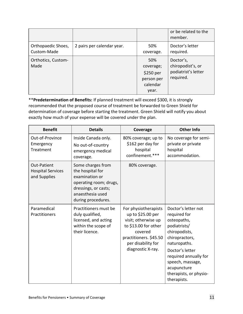|                                   |                            |                                                                  | or be related to the<br>member.                                    |
|-----------------------------------|----------------------------|------------------------------------------------------------------|--------------------------------------------------------------------|
| Orthopaedic Shoes,<br>Custom-Made | 2 pairs per calendar year. | 50%<br>coverage.                                                 | Doctor's letter<br>required.                                       |
| Orthotics, Custom-<br>Made        |                            | 50%<br>coverage;<br>\$250 per<br>person per<br>calendar<br>year. | Doctor's,<br>chiropodist's, or<br>podiatrist's letter<br>required. |

\*\***Predetermination of Benefits:** If planned treatment will exceed \$300, it is strongly recommended that the proposed course of treatment be forwarded to Green Shield for determination of coverage before starting the treatment. Green Shield will notify you about exactly how much of your expense will be covered under the plan.

| <b>Benefit</b>                                          | <b>Details</b>                                                                                                                                      | Coverage                                                                                                                                                                 | <b>Other Info</b>                                                                                                                                                                                                                             |
|---------------------------------------------------------|-----------------------------------------------------------------------------------------------------------------------------------------------------|--------------------------------------------------------------------------------------------------------------------------------------------------------------------------|-----------------------------------------------------------------------------------------------------------------------------------------------------------------------------------------------------------------------------------------------|
| Out-of-Province<br>Emergency<br>Treatment               | Inside Canada only.<br>No out-of-country<br>emergency medical<br>coverage.                                                                          | 80% coverage; up to<br>\$162 per day for<br>hospital<br>confinement.***                                                                                                  | No coverage for semi-<br>private or private<br>hospital<br>accommodation.                                                                                                                                                                     |
| Out-Patient<br><b>Hospital Services</b><br>and Supplies | Some charges from<br>the hospital for<br>examination or<br>operating room; drugs,<br>dressings, or casts;<br>anaesthesia used<br>during procedures. | 80% coverage.                                                                                                                                                            |                                                                                                                                                                                                                                               |
| Paramedical<br>Practitioners                            | Practitioners must be<br>duly qualified,<br>licensed, and acting<br>within the scope of<br>their licence.                                           | For physiotherapists<br>up to \$25.00 per<br>visit; otherwise up<br>to \$13.00 for other<br>covered<br>practitioners. \$45.50<br>per disability for<br>diagnostic X-ray. | Doctor's letter not<br>required for<br>osteopaths,<br>podiatrists/<br>chiropodists,<br>chiropractors,<br>naturopaths.<br>Doctor's letter<br>required annually for<br>speech, massage,<br>acupuncture<br>therapists, or physio-<br>therapists. |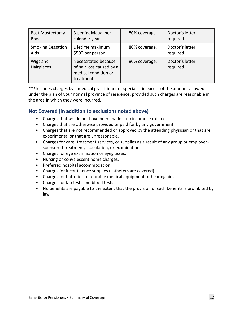| Post-Mastectomy          | 3 per individual per                                                                   | 80% coverage. | Doctor's letter              |
|--------------------------|----------------------------------------------------------------------------------------|---------------|------------------------------|
| <b>Bras</b>              | calendar year.                                                                         |               | required.                    |
| <b>Smoking Cessation</b> | Lifetime maximum                                                                       | 80% coverage. | Doctor's letter              |
| Aids                     | \$500 per person.                                                                      |               | required.                    |
| Wigs and<br>Hairpieces   | Necessitated because<br>of hair loss caused by a<br>medical condition or<br>treatment. | 80% coverage. | Doctor's letter<br>required. |

\*\*\*Includes charges by a medical practitioner or specialist in excess of the amount allowed under the plan of your normal province of residence, provided such charges are reasonable in the area in which they were incurred.

### <span id="page-11-0"></span>**Not Covered (in addition to exclusions noted above)**

- Charges that would not have been made if no insurance existed.
- Charges that are otherwise provided or paid for by any government.
- Charges that are not recommended or approved by the attending physician or that are experimental or that are unreasonable.
- Charges for care, treatment services, or supplies as a result of any group or employersponsored treatment, inoculation, or examination.
- Charges for eye examination or eyeglasses.
- Nursing or convalescent home charges.
- Preferred hospital accommodation.
- Charges for incontinence supplies (catheters are covered).
- Charges for batteries for durable medical equipment or hearing aids.
- Charges for lab tests and blood tests.
- No benefits are payable to the extent that the provision of such benefits is prohibited by law.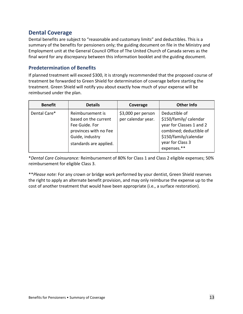# <span id="page-12-0"></span>**Dental Coverage**

Dental benefits are subject to "reasonable and customary limits" and deductibles. This is a summary of the benefits for pensioners only; the guiding document on file in the Ministry and Employment unit at the General Council Office of The United Church of Canada serves as the final word for any discrepancy between this information booklet and the guiding document.

### <span id="page-12-1"></span>**Predetermination of Benefits**

If planned treatment will exceed \$300, it is strongly recommended that the proposed course of treatment be forwarded to Green Shield for determination of coverage before starting the treatment. Green Shield will notify you about exactly how much of your expense will be reimbursed under the plan.

| <b>Benefit</b> | <b>Details</b>                                                                                                                   | Coverage                                 | <b>Other Info</b>                                                                                                                                          |
|----------------|----------------------------------------------------------------------------------------------------------------------------------|------------------------------------------|------------------------------------------------------------------------------------------------------------------------------------------------------------|
| Dental Care*   | Reimbursement is<br>based on the current<br>Fee Guide. For<br>provinces with no Fee<br>Guide, industry<br>standards are applied. | \$3,000 per person<br>per calendar year. | Deductible of<br>\$150/family/ calendar<br>year for Classes 1 and 2<br>combined; deductible of<br>\$150/family/calendar<br>year for Class 3<br>expenses.** |

\**Dental Care Coinsurance:* Reimbursement of 80% for Class 1 and Class 2 eligible expenses; 50% reimbursement for eligible Class 3.

<span id="page-12-2"></span>\*\**Please note:* For any crown or bridge work performed by your dentist, Green Shield reserves the right to apply an alternate benefit provision, and may only reimburse the expense up to the cost of another treatment that would have been appropriate (i.e., a surface restoration).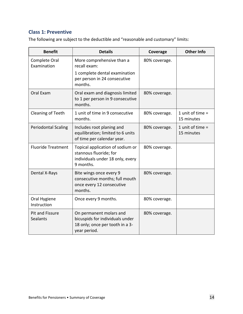## **Class 1: Preventive**

The following are subject to the deductible and "reasonable and customary" limits:

| <b>Benefit</b>                     | <b>Details</b>                                                                                                | Coverage      | <b>Other Info</b>                |
|------------------------------------|---------------------------------------------------------------------------------------------------------------|---------------|----------------------------------|
| Complete Oral<br>Examination       | More comprehensive than a<br>recall exam:<br>1 complete dental examination                                    | 80% coverage. |                                  |
|                                    | per person in 24 consecutive<br>months.                                                                       |               |                                  |
| Oral Exam                          | Oral exam and diagnosis limited<br>to 1 per person in 9 consecutive<br>months.                                | 80% coverage. |                                  |
| Cleaning of Teeth                  | 1 unit of time in 9 consecutive<br>months.                                                                    | 80% coverage. | 1 unit of time $=$<br>15 minutes |
| <b>Periodontal Scaling</b>         | Includes root planing and<br>equilibration; limited to 6 units<br>of time per calendar year.                  | 80% coverage. | 1 unit of time $=$<br>15 minutes |
| <b>Fluoride Treatment</b>          | Topical application of sodium or<br>stannous fluoride; for<br>individuals under 18 only, every<br>9 months.   | 80% coverage. |                                  |
| Dental X-Rays                      | Bite wings once every 9<br>consecutive months; full mouth<br>once every 12 consecutive<br>months.             | 80% coverage. |                                  |
| Oral Hygiene<br>Instruction        | Once every 9 months.                                                                                          | 80% coverage. |                                  |
| <b>Pit and Fissure</b><br>Sealants | On permanent molars and<br>bicuspids for individuals under<br>18 only; once per tooth in a 3-<br>year period. | 80% coverage. |                                  |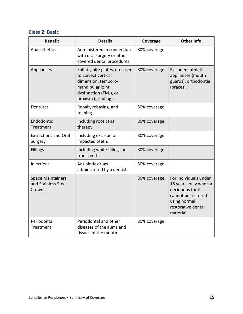### <span id="page-14-0"></span>**Class 2: Basic**

| <b>Benefit</b>                                            | <b>Details</b>                                                                                                                                    | Coverage      | <b>Other Info</b>                                                                                                                          |
|-----------------------------------------------------------|---------------------------------------------------------------------------------------------------------------------------------------------------|---------------|--------------------------------------------------------------------------------------------------------------------------------------------|
| Anaesthetics                                              | Administered in connection<br>with oral surgery or other<br>covered dental procedures.                                                            | 80% coverage. |                                                                                                                                            |
| Appliances                                                | Splints, bite plates, etc. used<br>to correct vertical<br>dimension, temporo-<br>mandibular joint<br>dysfunction (TMJ), or<br>bruxism (grinding). | 80% coverage. | Excluded: athletic<br>appliances (mouth<br>guards); orthodontia<br>(braces).                                                               |
| Dentures                                                  | Repair, rebasing, and<br>relining.                                                                                                                | 80% coverage. |                                                                                                                                            |
| Endodontic<br>Treatment                                   | Including root canal<br>therapy.                                                                                                                  | 80% coverage. |                                                                                                                                            |
| <b>Extractions and Oral</b><br>Surgery                    | Including excision of<br>impacted teeth.                                                                                                          | 80% coverage. |                                                                                                                                            |
| <b>Fillings</b>                                           | Including white fillings on<br>front teeth.                                                                                                       | 80% coverage. |                                                                                                                                            |
| Injections                                                | Antibiotic drugs<br>administered by a dentist.                                                                                                    | 80% coverage. |                                                                                                                                            |
| <b>Space Maintainers</b><br>and Stainless Steel<br>Crowns |                                                                                                                                                   | 80% coverage. | For individuals under<br>18 years; only when a<br>deciduous tooth<br>cannot be restored<br>using normal<br>restorative dental<br>material. |
| Periodontal<br>Treatment                                  | Periodontal and other<br>diseases of the gums and<br>tissues of the mouth.                                                                        | 80% coverage. |                                                                                                                                            |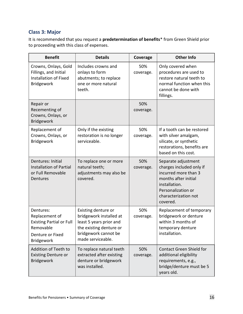## <span id="page-15-0"></span>**Class 3: Major**

It is recommended that you request a **predetermination of benefits**\* from Green Shield prior to proceeding with this class of expenses.

| <b>Benefit</b>                                                                                                       | <b>Details</b>                                                                                                                                    | Coverage         | <b>Other Info</b>                                                                                                                                                          |
|----------------------------------------------------------------------------------------------------------------------|---------------------------------------------------------------------------------------------------------------------------------------------------|------------------|----------------------------------------------------------------------------------------------------------------------------------------------------------------------------|
| Crowns, Onlays, Gold<br>Fillings, and Initial<br><b>Installation of Fixed</b><br><b>Bridgework</b>                   | Includes crowns and<br>onlays to form<br>abutments; to replace<br>one or more natural<br>teeth.                                                   | 50%<br>coverage. | Only covered when<br>procedures are used to<br>restore natural teeth to<br>normal function when this<br>cannot be done with<br>fillings.                                   |
| Repair or<br>Recementing of<br>Crowns, Onlays, or<br>Bridgework                                                      |                                                                                                                                                   | 50%<br>coverage. |                                                                                                                                                                            |
| Replacement of<br>Crowns, Onlays, or<br>Bridgework                                                                   | Only if the existing<br>restoration is no longer<br>serviceable.                                                                                  | 50%<br>coverage. | If a tooth can be restored<br>with silver amalgam,<br>silicate, or synthetic<br>restorations, benefits are<br>based on this cost.                                          |
| Dentures: Initial<br><b>Installation of Partial</b><br>or Full Removable<br>Dentures                                 | To replace one or more<br>natural teeth;<br>adjustments may also be<br>covered.                                                                   | 50%<br>coverage. | Separate adjustment<br>charges included only if<br>incurred more than 3<br>months after initial<br>installation.<br>Personalization or<br>characterization not<br>covered. |
| Dentures:<br>Replacement of<br><b>Existing Partial or Full</b><br>Removable<br>Denture or Fixed<br><b>Bridgework</b> | Existing denture or<br>bridgework installed at<br>least 5 years prior and<br>the existing denture or<br>bridgework cannot be<br>made serviceable. | 50%<br>coverage. | Replacement of temporary<br>bridgework or denture<br>within 3 months of<br>temporary denture<br>installation.                                                              |
| Addition of Teeth to<br><b>Existing Denture or</b><br><b>Bridgework</b>                                              | To replace natural teeth<br>extracted after existing<br>denture or bridgework<br>was installed.                                                   | 50%<br>coverage. | <b>Contact Green Shield for</b><br>additional eligibility<br>requirements, e.g.,<br>bridge/denture must be 5<br>years old.                                                 |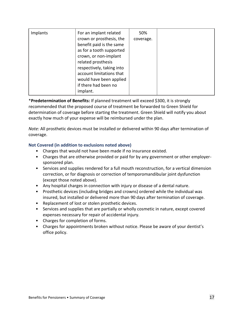| Implants | For an implant related<br>crown or prosthesis, the<br>benefit paid is the same<br>as for a tooth supported<br>crown, or non-implant<br>related prosthesis<br>respectively, taking into<br>account limitations that<br>would have been applied<br>if there had been no | 50%<br>coverage. |  |
|----------|-----------------------------------------------------------------------------------------------------------------------------------------------------------------------------------------------------------------------------------------------------------------------|------------------|--|
|          | implant.                                                                                                                                                                                                                                                              |                  |  |

\***Predetermination of Benefits:** If planned treatment will exceed \$300, it is strongly recommended that the proposed course of treatment be forwarded to Green Shield for determination of coverage before starting the treatment. Green Shield will notify you about exactly how much of your expense will be reimbursed under the plan.

*Note:* All prosthetic devices must be installed or delivered within 90 days after termination of coverage.

#### **Not Covered (in addition to exclusions noted above)**

- Charges that would not have been made if no insurance existed.
- Charges that are otherwise provided or paid for by any government or other employersponsored plan.
- Services and supplies rendered for a full mouth reconstruction, for a vertical dimension correction, or for diagnosis or correction of temporomandibular joint dysfunction (except those noted above).
- Any hospital charges in connection with injury or disease of a dental nature.
- Prosthetic devices (including bridges and crowns) ordered while the individual was insured, but installed or delivered more than 90 days after termination of coverage.
- Replacement of lost or stolen prosthetic devices.
- Services and supplies that are partially or wholly cosmetic in nature, except covered expenses necessary for repair of accidental injury.
- Charges for completion of forms.
- Charges for appointments broken without notice. Please be aware of your dentist's office policy.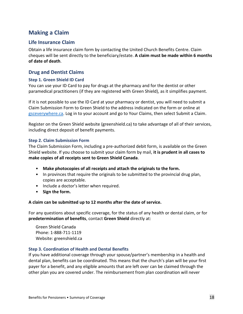# <span id="page-17-0"></span>**Making a Claim**

### <span id="page-17-1"></span>**Life Insurance Claim**

Obtain a life insurance claim form by contacting the United Church Benefits Centre. Claim cheques will be sent directly to the beneficiary/estate. **A claim must be made within 6 months of date of death**.

#### <span id="page-17-2"></span>**Drug and Dentist Claims**

#### <span id="page-17-3"></span>**Step 1. Green Shield ID Card**

You can use your ID Card to pay for drugs at the pharmacy and for the dentist or other paramedical practitioners (if they are registered with Green Shield), as it simplifies payment.

If it is not possible to use the ID Card at your pharmacy or dentist, you will need to submit a Claim Submission Form to Green Shield to the address indicated on the form or online at [gsceverywhere.ca.](http://gsceverywhere.ca/) Log in to your account and go to Your Claims, then select Submit a Claim.

Register on the Green Shield website (greenshield.ca) to take advantage of all of their services, including direct deposit of benefit payments.

#### <span id="page-17-4"></span>**Step 2. Claim Submission Form**

The Claim Submission Form, including a pre-authorized debit form, is available on the Green Shield website. If you choose to submit your claim form by mail, **it is prudent in all cases to make copies of all receipts sent to Green Shield Canada**.

- **Make photocopies of all receipts and attach the originals to the form.**
- In provinces that require the originals to be submitted to the provincial drug plan, copies are acceptable.
- Include a doctor's letter when required.
- **Sign the form.**

#### **A claim can be submitted up to 12 months after the date of service.**

For any questions about specific coverage, for the status of any health or dental claim, or for **predetermination of benefits**, contact **Green Shield** directly at:

Green Shield Canada Phone: 1-888-711-1119 Website: greenshield.ca

#### <span id="page-17-5"></span>**Step 3. Coordination of Health and Dental Benefits**

If you have additional coverage through your spouse/partner's membership in a health and dental plan, benefits can be coordinated. This means that the church's plan will be your first payer for a benefit, and any eligible amounts that are left over can be claimed through the other plan you are covered under. The reimbursement from plan coordination will never